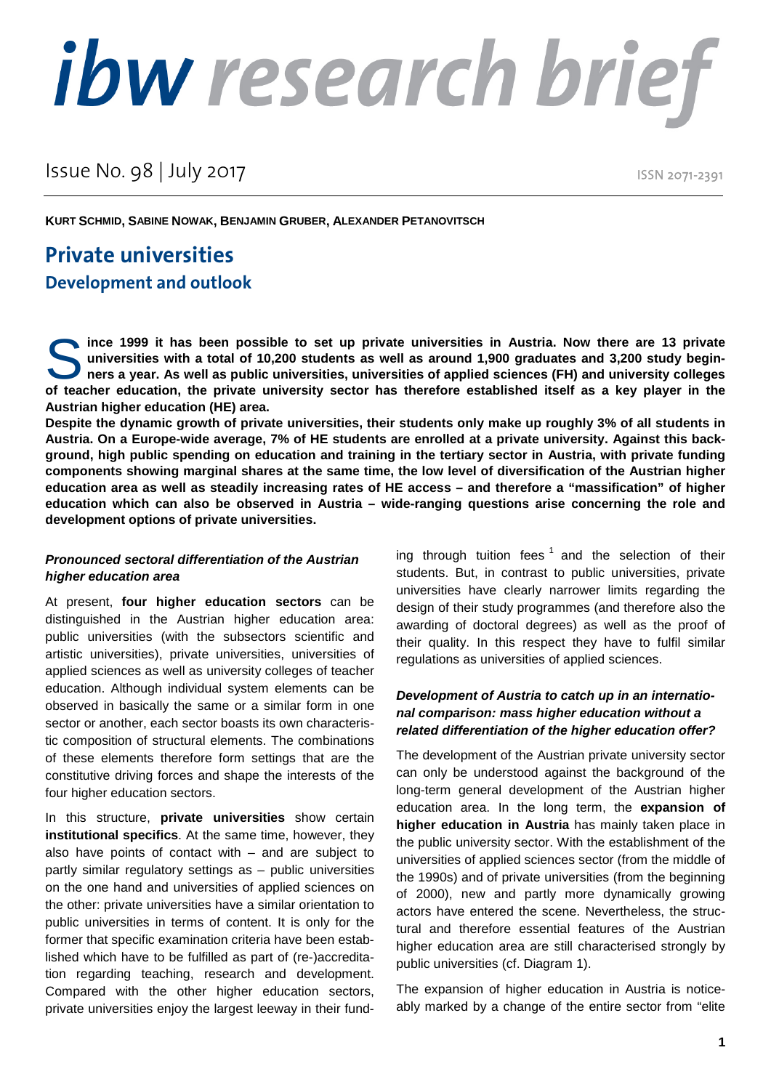# ibw research brief

Issue No. 98 | July 2017

ISSN 2071-2391

**KURT SCHMID, SABINE NOWAK, BENJAMIN GRUBER, ALEXANDER PETANOVITSCH**

# **Private universities Development and outlook**

**ince 1999 it has been possible to set up private universities in Austria. Now there are 13 private universities with a total of 10,200 students as well as around 1,900 graduates and 3,200 study beginners a year. As well as public universities, universities of applied sciences (FH) and university colleges**  ince 1999 it has been possible to set up private universities in Austria. Now there are 13 private universities with a total of 10,200 students as well as around 1,900 graduates and 3,200 study beginners a year. As well as **Austrian higher education (HE) area.** 

**Despite the dynamic growth of private universities, their students only make up roughly 3% of all students in Austria. On a Europe-wide average, 7% of HE students are enrolled at a private university. Against this background, high public spending on education and training in the tertiary sector in Austria, with private funding components showing marginal shares at the same time, the low level of diversification of the Austrian higher education area as well as steadily increasing rates of HE access – and therefore a "massification" of higher education which can also be observed in Austria – wide-ranging questions arise concerning the role and development options of private universities.** 

### *Pronounced sectoral differentiation of the Austrian higher education area*

At present, **four higher education sectors** can be distinguished in the Austrian higher education area: public universities (with the subsectors scientific and artistic universities), private universities, universities of applied sciences as well as university colleges of teacher education. Although individual system elements can be observed in basically the same or a similar form in one sector or another, each sector boasts its own characteristic composition of structural elements. The combinations of these elements therefore form settings that are the constitutive driving forces and shape the interests of the four higher education sectors.

In this structure, **private universities** show certain **institutional specifics**. At the same time, however, they also have points of contact with  $-$  and are subject to partly similar regulatory settings as – public universities on the one hand and universities of applied sciences on the other: private universities have a similar orientation to public universities in terms of content. It is only for the former that specific examination criteria have been established which have to be fulfilled as part of (re-)accreditation regarding teaching, research and development. Compared with the other higher education sectors, private universities enjoy the largest leeway in their funding through tuition fees  $1$  and the selection of their students. But, in contrast to public universities, private universities have clearly narrower limits regarding the design of their study programmes (and therefore also the awarding of doctoral degrees) as well as the proof of their quality. In this respect they have to fulfil similar regulations as universities of applied sciences.

### *Development of Austria to catch up in an international comparison: mass higher education without a related differentiation of the higher education offer?*

The development of the Austrian private university sector can only be understood against the background of the long-term general development of the Austrian higher education area. In the long term, the **expansion of higher education in Austria** has mainly taken place in the public university sector. With the establishment of the universities of applied sciences sector (from the middle of the 1990s) and of private universities (from the beginning of 2000), new and partly more dynamically growing actors have entered the scene. Nevertheless, the structural and therefore essential features of the Austrian higher education area are still characterised strongly by public universities (cf. Diagram 1).

The expansion of higher education in Austria is noticeably marked by a change of the entire sector from "elite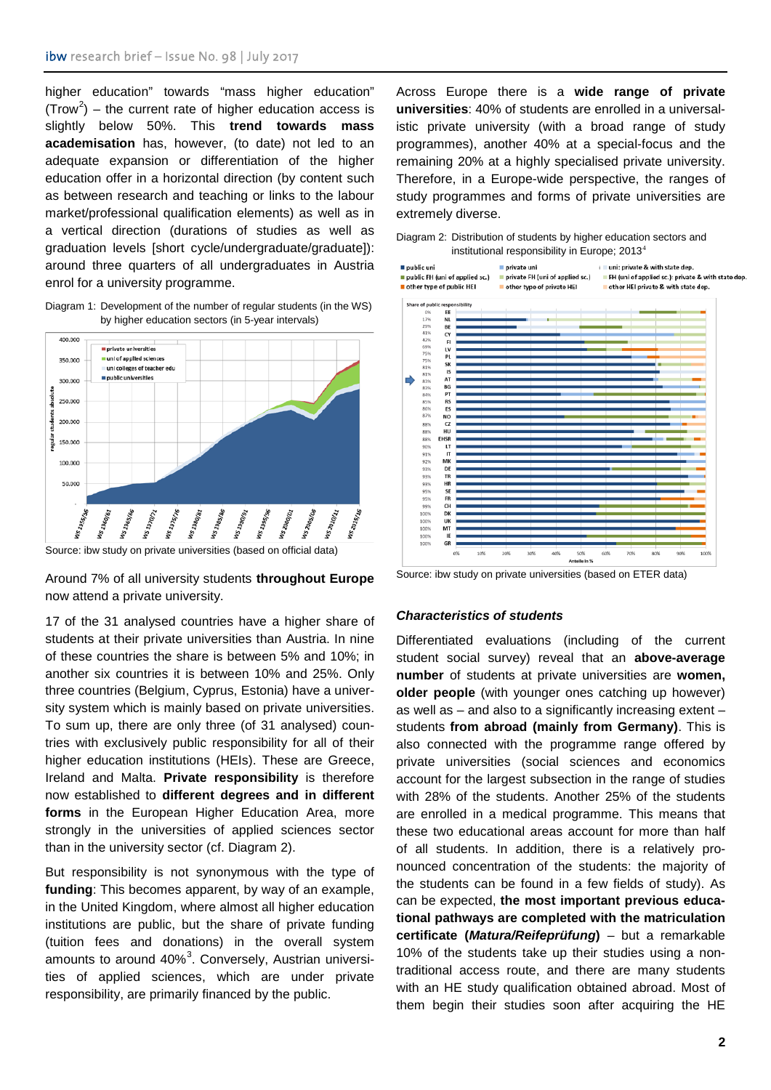higher education" towards "mass higher education" (Trow<sup>[2](#page-3-1)</sup>) – the current rate of higher education access is slightly below 50%. This **trend towards mass academisation** has, however, (to date) not led to an adequate expansion or differentiation of the higher education offer in a horizontal direction (by content such as between research and teaching or links to the labour market/professional qualification elements) as well as in a vertical direction (durations of studies as well as graduation levels [short cycle/undergraduate/graduate]): around three quarters of all undergraduates in Austria enrol for a university programme.

Diagram 1: Development of the number of regular students (in the WS) by higher education sectors (in 5-year intervals)



Source: ibw study on private universities (based on official data)

Around 7% of all university students **throughout Europe**  now attend a private university.

17 of the 31 analysed countries have a higher share of students at their private universities than Austria. In nine of these countries the share is between 5% and 10%; in another six countries it is between 10% and 25%. Only three countries (Belgium, Cyprus, Estonia) have a university system which is mainly based on private universities. To sum up, there are only three (of 31 analysed) countries with exclusively public responsibility for all of their higher education institutions (HEIs). These are Greece, Ireland and Malta. **Private responsibility** is therefore now established to **different degrees and in different forms** in the European Higher Education Area, more strongly in the universities of applied sciences sector than in the university sector (cf. Diagram 2).

But responsibility is not synonymous with the type of **funding**: This becomes apparent, by way of an example, in the United Kingdom, where almost all higher education institutions are public, but the share of private funding (tuition fees and donations) in the overall system amounts to around 40%<sup>[3](#page-3-2)</sup>. Conversely, Austrian universities of applied sciences, which are under private responsibility, are primarily financed by the public.

Across Europe there is a **wide range of private universities**: 40% of students are enrolled in a universalistic private university (with a broad range of study programmes), another 40% at a special-focus and the remaining 20% at a highly specialised private university. Therefore, in a Europe-wide perspective, the ranges of study programmes and forms of private universities are extremely diverse.

| Diagram 2: Distribution of students by higher education sectors and |  |  |  |
|---------------------------------------------------------------------|--|--|--|
| institutional responsibility in Europe; $20134$                     |  |  |  |



Source: ibw study on private universities (based on ETER data)

### *Characteristics of students*

Differentiated evaluations (including of the current student social survey) reveal that an **above-average number** of students at private universities are **women, older people** (with younger ones catching up however) as well as – and also to a significantly increasing extent – students **from abroad (mainly from Germany)**. This is also connected with the programme range offered by private universities (social sciences and economics account for the largest subsection in the range of studies with 28% of the students. Another 25% of the students are enrolled in a medical programme. This means that these two educational areas account for more than half of all students. In addition, there is a relatively pronounced concentration of the students: the majority of the students can be found in a few fields of study). As can be expected, **the most important previous educational pathways are completed with the matriculation certificate (***Matura/Reifeprüfung***)** – but a remarkable 10% of the students take up their studies using a nontraditional access route, and there are many students with an HE study qualification obtained abroad. Most of them begin their studies soon after acquiring the HE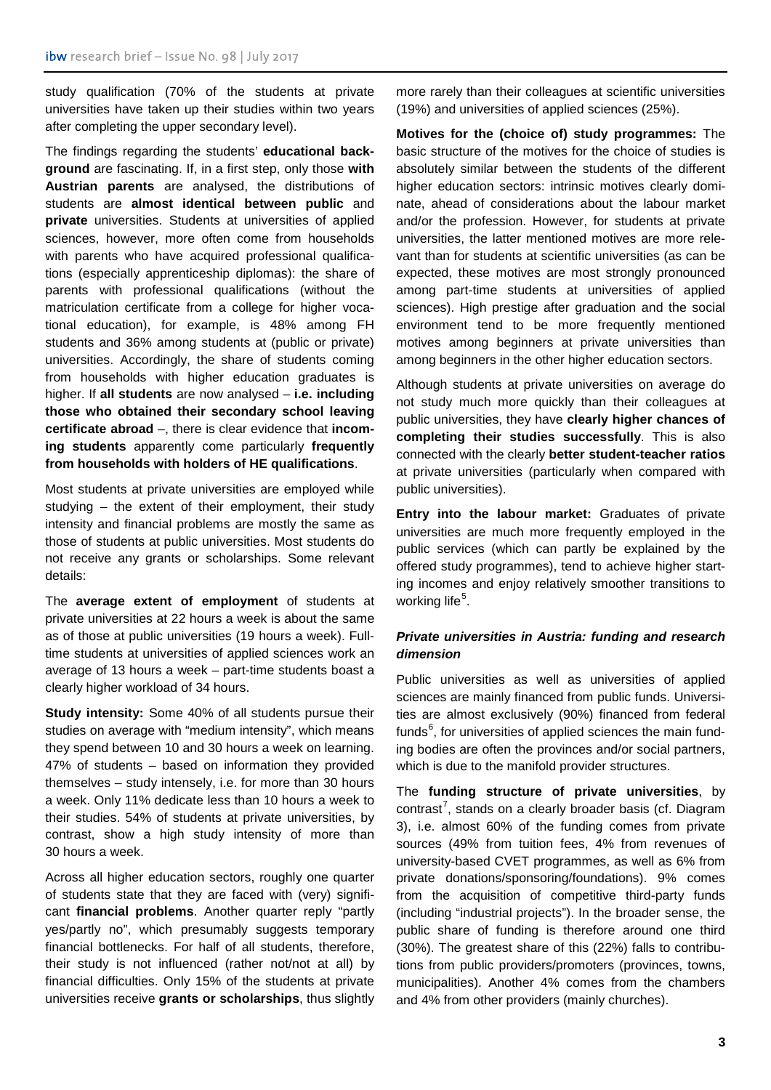study qualification (70% of the students at private universities have taken up their studies within two years after completing the upper secondary level).

The findings regarding the students' **educational background** are fascinating. If, in a first step, only those **with Austrian parents** are analysed, the distributions of students are **almost identical between public** and **private** universities. Students at universities of applied sciences, however, more often come from households with parents who have acquired professional qualifications (especially apprenticeship diplomas): the share of parents with professional qualifications (without the matriculation certificate from a college for higher vocational education), for example, is 48% among FH students and 36% among students at (public or private) universities. Accordingly, the share of students coming from households with higher education graduates is higher. If **all students** are now analysed – **i.e. including those who obtained their secondary school leaving certificate abroad** –, there is clear evidence that **incoming students** apparently come particularly **frequently from households with holders of HE qualifications**.

Most students at private universities are employed while studying – the extent of their employment, their study intensity and financial problems are mostly the same as those of students at public universities. Most students do not receive any grants or scholarships. Some relevant details:

The **average extent of employment** of students at private universities at 22 hours a week is about the same as of those at public universities (19 hours a week). Fulltime students at universities of applied sciences work an average of 13 hours a week – part-time students boast a clearly higher workload of 34 hours.

**Study intensity:** Some 40% of all students pursue their studies on average with "medium intensity", which means they spend between 10 and 30 hours a week on learning. 47% of students – based on information they provided themselves – study intensely, i.e. for more than 30 hours a week. Only 11% dedicate less than 10 hours a week to their studies. 54% of students at private universities, by contrast, show a high study intensity of more than 30 hours a week.

Across all higher education sectors, roughly one quarter of students state that they are faced with (very) significant **financial problems**. Another quarter reply "partly yes/partly no", which presumably suggests temporary financial bottlenecks. For half of all students, therefore, their study is not influenced (rather not/not at all) by financial difficulties. Only 15% of the students at private universities receive **grants or scholarships**, thus slightly more rarely than their colleagues at scientific universities (19%) and universities of applied sciences (25%).

**Motives for the (choice of) study programmes:** The basic structure of the motives for the choice of studies is absolutely similar between the students of the different higher education sectors: intrinsic motives clearly dominate, ahead of considerations about the labour market and/or the profession. However, for students at private universities, the latter mentioned motives are more relevant than for students at scientific universities (as can be expected, these motives are most strongly pronounced among part-time students at universities of applied sciences). High prestige after graduation and the social environment tend to be more frequently mentioned motives among beginners at private universities than among beginners in the other higher education sectors.

Although students at private universities on average do not study much more quickly than their colleagues at public universities, they have **clearly higher chances of completing their studies successfully**. This is also connected with the clearly **better student-teacher ratios**  at private universities (particularly when compared with public universities).

**Entry into the labour market:** Graduates of private universities are much more frequently employed in the public services (which can partly be explained by the offered study programmes), tend to achieve higher starting incomes and enjoy relatively smoother transitions to working life<sup>[5](#page-3-4)</sup>.

## *Private universities in Austria: funding and research dimension*

Public universities as well as universities of applied sciences are mainly financed from public funds. Universities are almost exclusively (90%) financed from federal funds<sup>[6](#page-3-5)</sup>, for universities of applied sciences the main funding bodies are often the provinces and/or social partners, which is due to the manifold provider structures.

The **funding structure of private universities**, by contrast<sup>[7](#page-3-6)</sup>, stands on a clearly broader basis (cf. Diagram 3), i.e. almost 60% of the funding comes from private sources (49% from tuition fees, 4% from revenues of university-based CVET programmes, as well as 6% from private donations/sponsoring/foundations). 9% comes from the acquisition of competitive third-party funds (including "industrial projects"). In the broader sense, the public share of funding is therefore around one third (30%). The greatest share of this (22%) falls to contributions from public providers/promoters (provinces, towns, municipalities). Another 4% comes from the chambers and 4% from other providers (mainly churches).